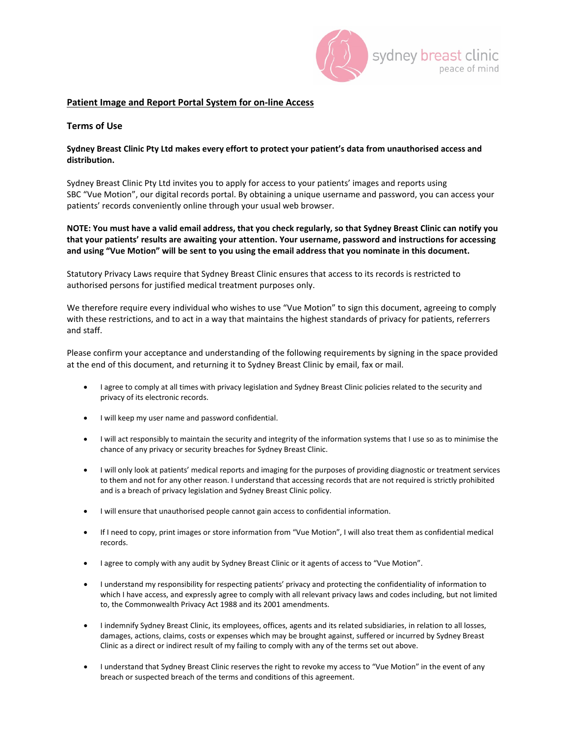

#### **Patient Image and Report Portal System for on-line Access**

## **Terms of Use**

## **Sydney Breast Clinic Pty Ltd makes every effort to protect your patient's data from unauthorised access and distribution.**

Sydney Breast Clinic Pty Ltd invites you to apply for access to your patients' images and reports using SBC "Vue Motion", our digital records portal. By obtaining a unique username and password, you can access your patients' records conveniently online through your usual web browser.

## **NOTE: You must have a valid email address, that you check regularly, so that Sydney Breast Clinic can notify you that your patients' results are awaiting your attention. Your username, password and instructions for accessing and using "Vue Motion" will be sent to you using the email address that you nominate in this document.**

Statutory Privacy Laws require that Sydney Breast Clinic ensures that access to its records is restricted to authorised persons for justified medical treatment purposes only.

We therefore require every individual who wishes to use "Vue Motion" to sign this document, agreeing to comply with these restrictions, and to act in a way that maintains the highest standards of privacy for patients, referrers and staff.

Please confirm your acceptance and understanding of the following requirements by signing in the space provided at the end of this document, and returning it to Sydney Breast Clinic by email, fax or mail.

- I agree to comply at all times with privacy legislation and Sydney Breast Clinic policies related to the security and privacy of its electronic records.
- I will keep my user name and password confidential.
- I will act responsibly to maintain the security and integrity of the information systems that I use so as to minimise the chance of any privacy or security breaches for Sydney Breast Clinic.
- I will only look at patients' medical reports and imaging for the purposes of providing diagnostic or treatment services to them and not for any other reason. I understand that accessing records that are not required is strictly prohibited and is a breach of privacy legislation and Sydney Breast Clinic policy.
- I will ensure that unauthorised people cannot gain access to confidential information.
- If I need to copy, print images or store information from "Vue Motion", I will also treat them as confidential medical records.
- I agree to comply with any audit by Sydney Breast Clinic or it agents of access to "Vue Motion".
- I understand my responsibility for respecting patients' privacy and protecting the confidentiality of information to which I have access, and expressly agree to comply with all relevant privacy laws and codes including, but not limited to, the Commonwealth Privacy Act 1988 and its 2001 amendments.
- I indemnify Sydney Breast Clinic, its employees, offices, agents and its related subsidiaries, in relation to all losses, damages, actions, claims, costs or expenses which may be brought against, suffered or incurred by Sydney Breast Clinic as a direct or indirect result of my failing to comply with any of the terms set out above.
- I understand that Sydney Breast Clinic reserves the right to revoke my access to "Vue Motion" in the event of any breach or suspected breach of the terms and conditions of this agreement.